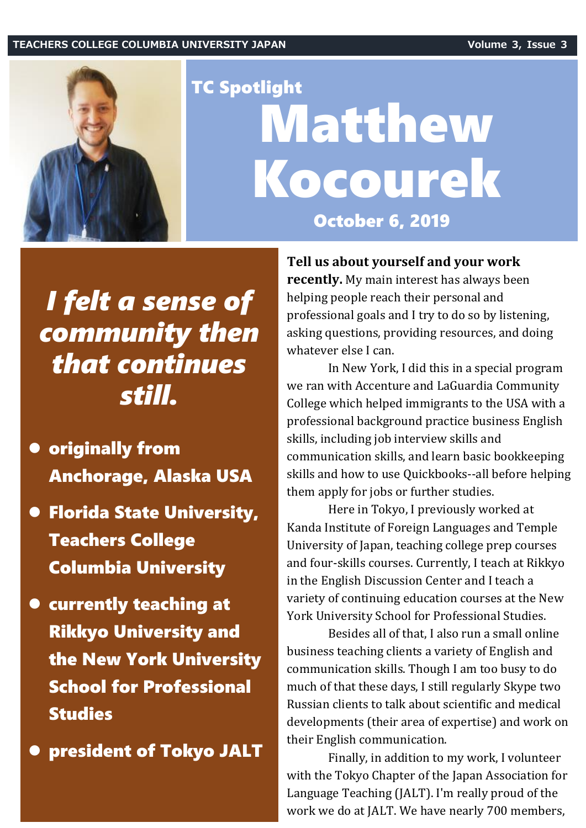## **TEACHERS COLLEGE COLUMBIA UNIVERSITY JAPAN Volume 3, Issue 3**



## TC Spotlight Matthew Kocourek October 6, 2019

## *I felt a sense of community then that continues still.*

- ⚫ originally from Anchorage, Alaska USA
- ⚫ Florida State University, Teachers College Columbia University
- ⚫ currently teaching at Rikkyo University and the New York University School for Professional Studies

⚫ president of Tokyo JALT

**Tell us about yourself and your work**

**recently.** My main interest has always been helping people reach their personal and professional goals and I try to do so by listening, asking questions, providing resources, and doing whatever else I can.

In New York, I did this in a special program we ran with Accenture and LaGuardia Community College which helped immigrants to the USA with a professional background practice business English skills, including job interview skills and communication skills, and learn basic bookkeeping skills and how to use Quickbooks--all before helping them apply for jobs or further studies.

Here in Tokyo, I previously worked at Kanda Institute of Foreign Languages and Temple University of Japan, teaching college prep courses and four-skills courses. Currently, I teach at Rikkyo in the English Discussion Center and I teach a variety of continuing education courses at the New York University School for Professional Studies.

Besides all of that, I also run a small online business teaching clients a variety of English and communication skills. Though I am too busy to do much of that these days, I still regularly Skype two Russian clients to talk about scientific and medical developments (their area of expertise) and work on their English communication.

Finally, in addition to my work, I volunteer with the Tokyo Chapter of the Japan Association for Language Teaching (JALT). I'm really proud of the work we do at JALT. We have nearly 700 members,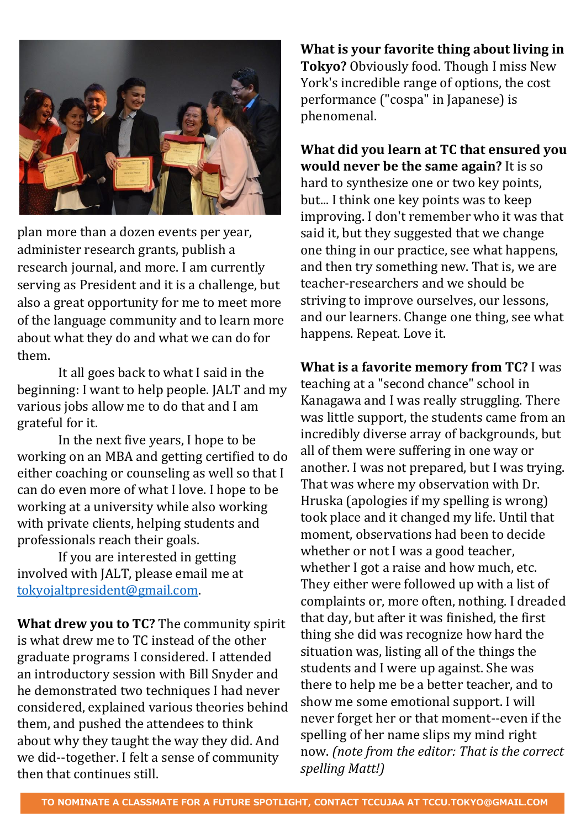

plan more than a dozen events per year, administer research grants, publish a research journal, and more. I am currently serving as President and it is a challenge, but also a great opportunity for me to meet more of the language community and to learn more about what they do and what we can do for them.

It all goes back to what I said in the beginning: I want to help people. JALT and my various jobs allow me to do that and I am grateful for it.

In the next five years, I hope to be working on an MBA and getting certified to do either coaching or counseling as well so that I can do even more of what I love. I hope to be working at a university while also working with private clients, helping students and professionals reach their goals.

If you are interested in getting involved with JALT, please email me at [tokyojaltpresident@gmail.com.](mailto:tokyojaltpresident@gmail.com)

**What drew you to TC?** The community spirit is what drew me to TC instead of the other graduate programs I considered. I attended an introductory session with Bill Snyder and he demonstrated two techniques I had never considered, explained various theories behind them, and pushed the attendees to think about why they taught the way they did. And we did--together. I felt a sense of community then that continues still.

**What is your favorite thing about living in Tokyo?** Obviously food. Though I miss New York's incredible range of options, the cost performance ("cospa" in Japanese) is phenomenal.

**What did you learn at TC that ensured you would never be the same again?** It is so hard to synthesize one or two key points, but... I think one key points was to keep improving. I don't remember who it was that said it, but they suggested that we change one thing in our practice, see what happens, and then try something new. That is, we are teacher-researchers and we should be striving to improve ourselves, our lessons, and our learners. Change one thing, see what happens. Repeat. Love it.

**What is a favorite memory from TC?** I was teaching at a "second chance" school in Kanagawa and I was really struggling. There was little support, the students came from an incredibly diverse array of backgrounds, but all of them were suffering in one way or another. I was not prepared, but I was trying. That was where my observation with Dr. Hruska (apologies if my spelling is wrong) took place and it changed my life. Until that moment, observations had been to decide whether or not I was a good teacher, whether I got a raise and how much, etc. They either were followed up with a list of complaints or, more often, nothing. I dreaded that day, but after it was finished, the first thing she did was recognize how hard the situation was, listing all of the things the students and I were up against. She was there to help me be a better teacher, and to show me some emotional support. I will never forget her or that moment--even if the spelling of her name slips my mind right now. *(note from the editor: That is the correct spelling Matt!)*